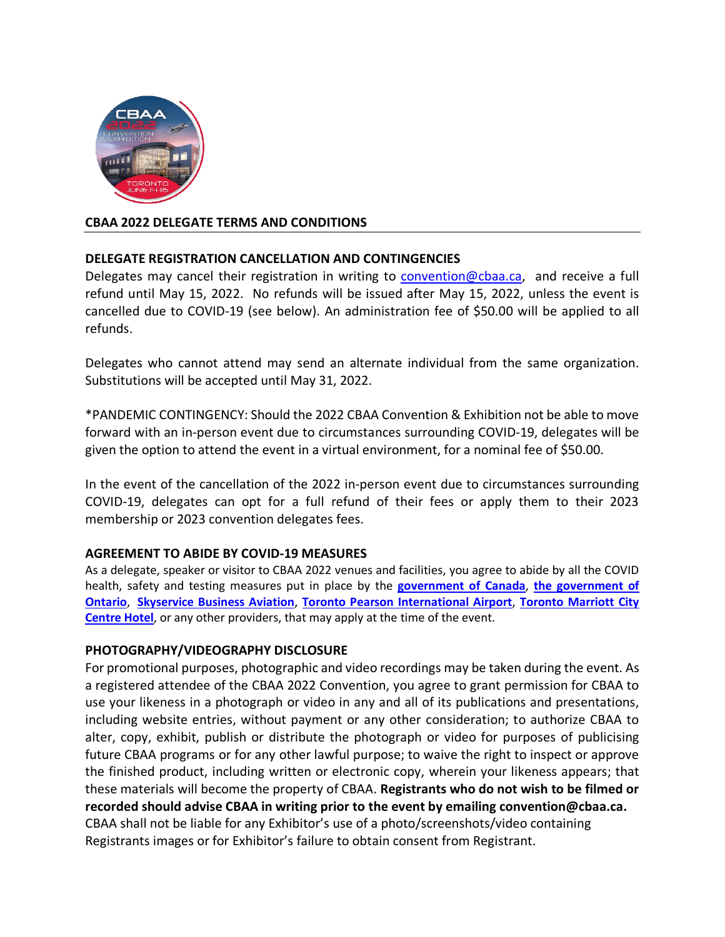

# **CBAA 2022 DELEGATE TERMS AND CONDITIONS**

# **DELEGATE REGISTRATION CANCELLATION AND CONTINGENCIES**

Delegates may cancel their registration in writing to [convention@cbaa.ca,](mailto:convention@cbaa.ca) and receive a full refund until May 15, 2022. No refunds will be issued after May 15, 2022, unless the event is cancelled due to COVID-19 (see below). An administration fee of \$50.00 will be applied to all refunds.

Delegates who cannot attend may send an alternate individual from the same organization. Substitutions will be accepted until May 31, 2022.

\*PANDEMIC CONTINGENCY: Should the 2022 CBAA Convention & Exhibition not be able to move forward with an in-person event due to circumstances surrounding COVID-19, delegates will be given the option to attend the event in a virtual environment, for a nominal fee of \$50.00.

In the event of the cancellation of the 2022 in-person event due to circumstances surrounding COVID-19, delegates can opt for a full refund of their fees or apply them to their 2023 membership or 2023 convention delegates fees.

# **AGREEMENT TO ABIDE BY COVID-19 MEASURES**

As a delegate, speaker or visitor to CBAA 2022 venues and facilities, you agree to abide by all the COVID health, safety and testing measures put in place by the **[government of Canada](https://can01.safelinks.protection.outlook.com/?url=https%3A%2F%2Ftravel.gc.ca%2Ftravel-covid&data=04%7C01%7Caoconnor%40cbaa.ca%7C88645a2e6bd14dabd80f08d9fb921cf6%7Cb649451c771b452f9998df3022edd9ec%7C0%7C0%7C637817427235090532%7CUnknown%7CTWFpbGZsb3d8eyJWIjoiMC4wLjAwMDAiLCJQIjoiV2luMzIiLCJBTiI6Ik1haWwiLCJXVCI6Mn0%3D%7C3000&sdata=v%2FezGjl%2BWra6y9bfMSFggG%2B1KIfGcwkCezRITO9bCZk%3D&reserved=0)**, **[the government of](https://can01.safelinks.protection.outlook.com/?url=https%3A%2F%2Fcovid-19.ontario.ca%2Fpublic-health-measures&data=04%7C01%7Caoconnor%40cbaa.ca%7C88645a2e6bd14dabd80f08d9fb921cf6%7Cb649451c771b452f9998df3022edd9ec%7C0%7C0%7C637817427235090532%7CUnknown%7CTWFpbGZsb3d8eyJWIjoiMC4wLjAwMDAiLCJQIjoiV2luMzIiLCJBTiI6Ik1haWwiLCJXVCI6Mn0%3D%7C3000&sdata=g1vVUduGApdllDR1yLGuTFkjic1SjYFMtQza924iYOg%3D&reserved=0)  [Ontario](https://can01.safelinks.protection.outlook.com/?url=https%3A%2F%2Fcovid-19.ontario.ca%2Fpublic-health-measures&data=04%7C01%7Caoconnor%40cbaa.ca%7C88645a2e6bd14dabd80f08d9fb921cf6%7Cb649451c771b452f9998df3022edd9ec%7C0%7C0%7C637817427235090532%7CUnknown%7CTWFpbGZsb3d8eyJWIjoiMC4wLjAwMDAiLCJQIjoiV2luMzIiLCJBTiI6Ik1haWwiLCJXVCI6Mn0%3D%7C3000&sdata=g1vVUduGApdllDR1yLGuTFkjic1SjYFMtQza924iYOg%3D&reserved=0)**, **[Skyservice Business Aviation](https://can01.safelinks.protection.outlook.com/?url=https%3A%2F%2Fskyservice.com%2Fnews%2Fcovid-19-travel-updates%2F&data=04%7C01%7Caoconnor%40cbaa.ca%7C88645a2e6bd14dabd80f08d9fb921cf6%7Cb649451c771b452f9998df3022edd9ec%7C0%7C0%7C637817427235090532%7CUnknown%7CTWFpbGZsb3d8eyJWIjoiMC4wLjAwMDAiLCJQIjoiV2luMzIiLCJBTiI6Ik1haWwiLCJXVCI6Mn0%3D%7C3000&sdata=MeEu1r6tj2rUW69bREmMcBT%2BgQlMOvnX66djqptLAWg%3D&reserved=0)**, **[Toronto Pearson International Airport](https://can01.safelinks.protection.outlook.com/?url=https%3A%2F%2Fwww.torontopearson.com%2Fen%2Fhealthy-airport&data=04%7C01%7Caoconnor%40cbaa.ca%7C88645a2e6bd14dabd80f08d9fb921cf6%7Cb649451c771b452f9998df3022edd9ec%7C0%7C0%7C637817427235090532%7CUnknown%7CTWFpbGZsb3d8eyJWIjoiMC4wLjAwMDAiLCJQIjoiV2luMzIiLCJBTiI6Ik1haWwiLCJXVCI6Mn0%3D%7C3000&sdata=j9%2BNSLQTaQ9%2BPdCYpULhoC4OruHxvO81sm4I1YzbGGM%3D&reserved=0)**, **[Toronto Marriott City](https://whattoexpect.marriott.com/yyzcc) [Centre Hotel](https://whattoexpect.marriott.com/yyzcc)**, or any other providers, that may apply at the time of the event.

# **PHOTOGRAPHY/VIDEOGRAPHY DISCLOSURE**

For promotional purposes, photographic and video recordings may be taken during the event. As a registered attendee of the CBAA 2022 Convention, you agree to grant permission for CBAA to use your likeness in a photograph or video in any and all of its publications and presentations, including website entries, without payment or any other consideration; to authorize CBAA to alter, copy, exhibit, publish or distribute the photograph or video for purposes of publicising future CBAA programs or for any other lawful purpose; to waive the right to inspect or approve the finished product, including written or electronic copy, wherein your likeness appears; that these materials will become the property of CBAA. **Registrants who do not wish to be filmed or recorded should advise CBAA in writing prior to the event by emailing convention@cbaa.ca.** CBAA shall not be liable for any Exhibitor's use of a photo/screenshots/video containing Registrants images or for Exhibitor's failure to obtain consent from Registrant.